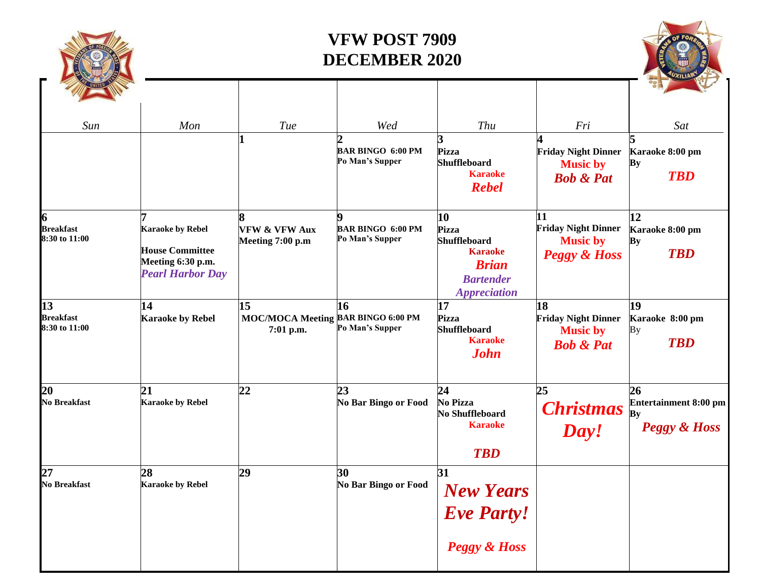

## **VFW POST 7909 DECEMBER 2020**

| Sun                                     | Mon                                                                                               | Tue                                                   | Wed                                                                  | Thu                                                                                                             | Fri                                                                            | Sat                                                                 |
|-----------------------------------------|---------------------------------------------------------------------------------------------------|-------------------------------------------------------|----------------------------------------------------------------------|-----------------------------------------------------------------------------------------------------------------|--------------------------------------------------------------------------------|---------------------------------------------------------------------|
|                                         |                                                                                                   |                                                       | $\mathcal{D}_{\cdot}$<br><b>BAR BINGO 6:00 PM</b><br>Po Man's Supper | 3<br>Pizza<br><b>Shuffleboard</b><br><b>Karaoke</b><br><b>Rebel</b>                                             | <b>Friday Night Dinner</b><br><b>Music by</b><br><b>Bob &amp; Pat</b>          | Karaoke 8:00 pm<br>Bу<br><b>TBD</b>                                 |
| <b>Breakfast</b><br>8:30 to 11:00       | <b>Karaoke by Rebel</b><br><b>House Committee</b><br>Meeting 6:30 p.m.<br><b>Pearl Harbor Day</b> | <b>VFW &amp; VFW Aux</b><br>Meeting 7:00 p.m          | Q<br><b>BAR BINGO 6:00 PM</b><br>Po Man's Supper                     | 10<br>Pizza<br><b>Shuffleboard</b><br><b>Karaoke</b><br><b>Brian</b><br><b>Bartender</b><br><b>Appreciation</b> | 11<br><b>Friday Night Dinner</b><br><b>Music by</b><br><b>Peggy &amp; Hoss</b> | 12<br>Karaoke 8:00 pm<br>By<br><b>TBD</b>                           |
| 13<br><b>Breakfast</b><br>8:30 to 11:00 | 14<br><b>Karaoke by Rebel</b>                                                                     | 15<br>MOC/MOCA Meeting BAR BINGO 6:00 PM<br>7:01 p.m. | 16<br>Po Man's Supper                                                | 17<br>Pizza<br><b>Shuffleboard</b><br><b>Karaoke</b><br><b>John</b>                                             | 18<br><b>Friday Night Dinner</b><br><b>Music by</b><br><b>Bob &amp; Pat</b>    | 19<br>Karaoke 8:00 pm<br>Bу<br><b>TBD</b>                           |
| 20<br><b>No Breakfast</b>               | 21<br><b>Karaoke by Rebel</b>                                                                     | 22                                                    | 23<br>No Bar Bingo or Food                                           | 24<br><b>No Pizza</b><br>No Shuffleboard<br><b>Karaoke</b><br><b>TBD</b>                                        | 25<br><b>Christmas</b><br>Day!                                                 | 26<br><b>Entertainment 8:00 pm</b><br>By<br><b>Peggy &amp; Hoss</b> |
| 27<br>No Breakfast                      | 28<br><b>Karaoke by Rebel</b>                                                                     | 29                                                    | 30<br>No Bar Bingo or Food                                           | 31<br><b>New Years</b><br><b>Eve Party!</b><br><b>Peggy &amp; Hoss</b>                                          |                                                                                |                                                                     |